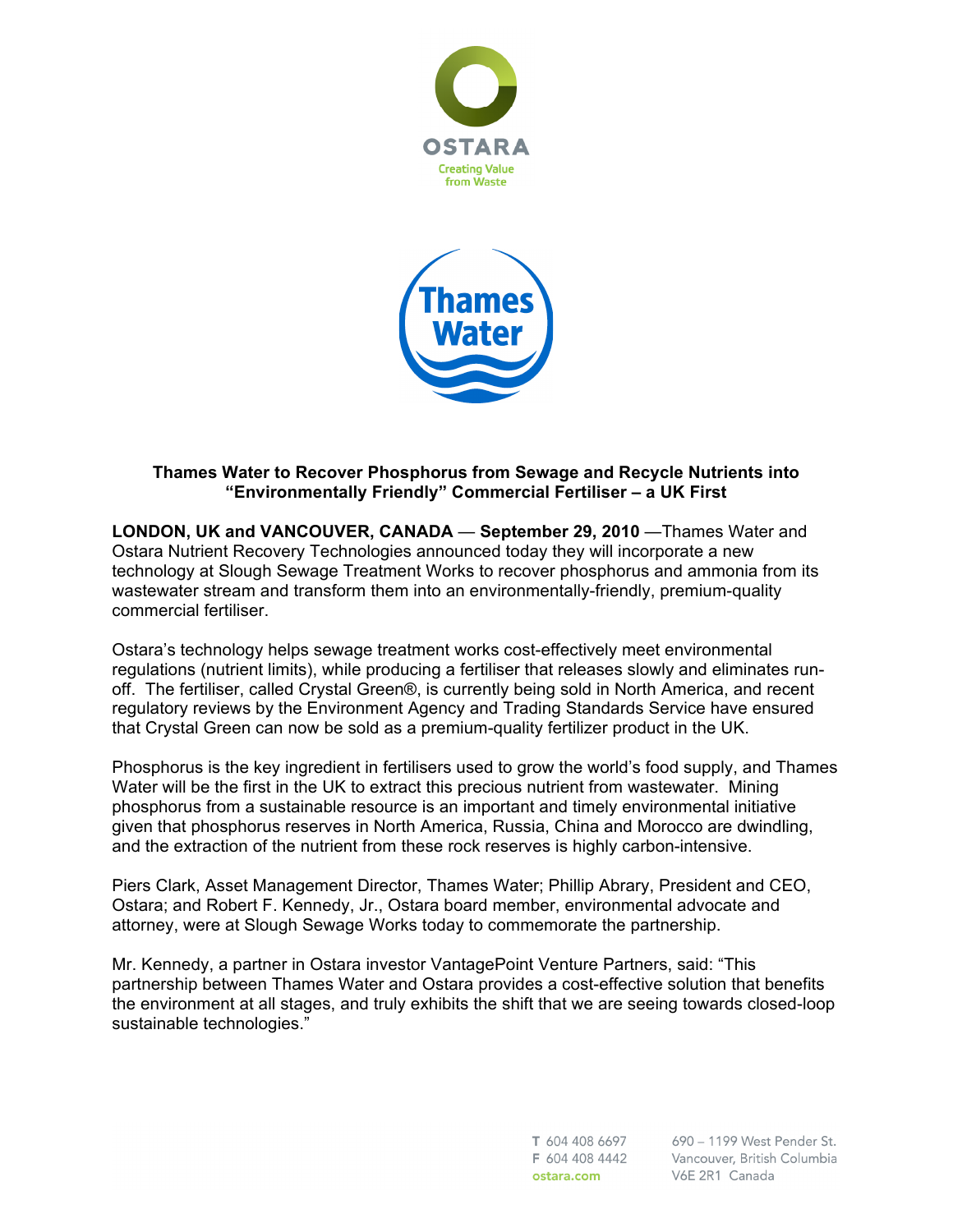



# **Thames Water to Recover Phosphorus from Sewage and Recycle Nutrients into "Environmentally Friendly" Commercial Fertiliser – a UK First**

**LONDON, UK and VANCOUVER, CANADA** — **September 29, 2010** —Thames Water and Ostara Nutrient Recovery Technologies announced today they will incorporate a new technology at Slough Sewage Treatment Works to recover phosphorus and ammonia from its wastewater stream and transform them into an environmentally-friendly, premium-quality commercial fertiliser.

Ostara's technology helps sewage treatment works cost-effectively meet environmental regulations (nutrient limits), while producing a fertiliser that releases slowly and eliminates runoff. The fertiliser, called Crystal Green®, is currently being sold in North America, and recent regulatory reviews by the Environment Agency and Trading Standards Service have ensured that Crystal Green can now be sold as a premium-quality fertilizer product in the UK.

Phosphorus is the key ingredient in fertilisers used to grow the world's food supply, and Thames Water will be the first in the UK to extract this precious nutrient from wastewater. Mining phosphorus from a sustainable resource is an important and timely environmental initiative given that phosphorus reserves in North America, Russia, China and Morocco are dwindling, and the extraction of the nutrient from these rock reserves is highly carbon-intensive.

Piers Clark, Asset Management Director, Thames Water; Phillip Abrary, President and CEO, Ostara; and Robert F. Kennedy, Jr., Ostara board member, environmental advocate and attorney, were at Slough Sewage Works today to commemorate the partnership.

Mr. Kennedy, a partner in Ostara investor VantagePoint Venture Partners, said: "This partnership between Thames Water and Ostara provides a cost-effective solution that benefits the environment at all stages, and truly exhibits the shift that we are seeing towards closed-loop sustainable technologies."

> T 604 408 6697 F 604 408 4442 ostara.com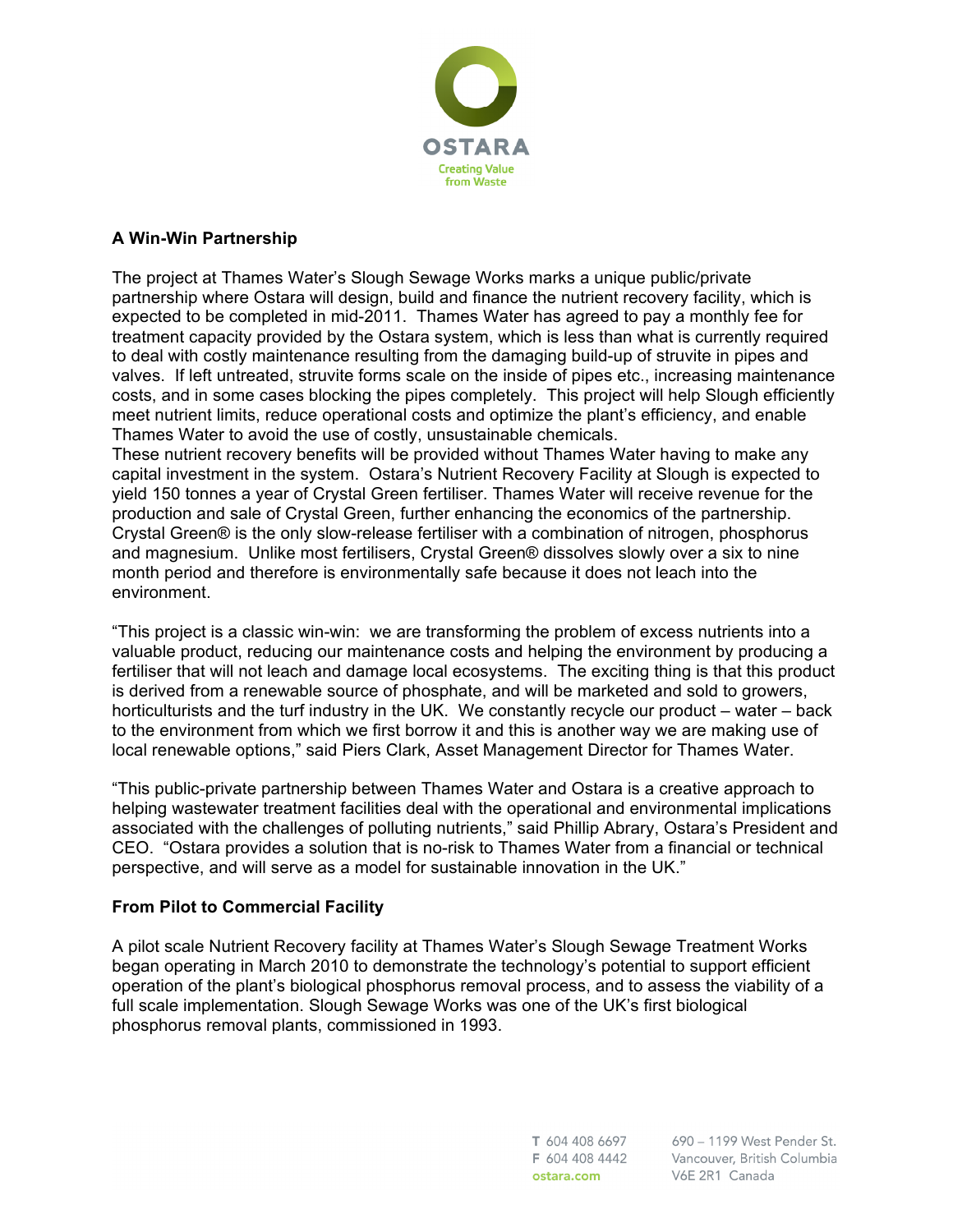

# **A Win-Win Partnership**

The project at Thames Water's Slough Sewage Works marks a unique public/private partnership where Ostara will design, build and finance the nutrient recovery facility, which is expected to be completed in mid-2011. Thames Water has agreed to pay a monthly fee for treatment capacity provided by the Ostara system, which is less than what is currently required to deal with costly maintenance resulting from the damaging build-up of struvite in pipes and valves. If left untreated, struvite forms scale on the inside of pipes etc., increasing maintenance costs, and in some cases blocking the pipes completely. This project will help Slough efficiently meet nutrient limits, reduce operational costs and optimize the plant's efficiency, and enable Thames Water to avoid the use of costly, unsustainable chemicals.

These nutrient recovery benefits will be provided without Thames Water having to make any capital investment in the system. Ostara's Nutrient Recovery Facility at Slough is expected to yield 150 tonnes a year of Crystal Green fertiliser. Thames Water will receive revenue for the production and sale of Crystal Green, further enhancing the economics of the partnership. Crystal Green® is the only slow-release fertiliser with a combination of nitrogen, phosphorus and magnesium. Unlike most fertilisers, Crystal Green® dissolves slowly over a six to nine month period and therefore is environmentally safe because it does not leach into the environment.

"This project is a classic win-win: we are transforming the problem of excess nutrients into a valuable product, reducing our maintenance costs and helping the environment by producing a fertiliser that will not leach and damage local ecosystems. The exciting thing is that this product is derived from a renewable source of phosphate, and will be marketed and sold to growers, horticulturists and the turf industry in the UK. We constantly recycle our product – water – back to the environment from which we first borrow it and this is another way we are making use of local renewable options," said Piers Clark, Asset Management Director for Thames Water.

"This public-private partnership between Thames Water and Ostara is a creative approach to helping wastewater treatment facilities deal with the operational and environmental implications associated with the challenges of polluting nutrients," said Phillip Abrary, Ostara's President and CEO. "Ostara provides a solution that is no-risk to Thames Water from a financial or technical perspective, and will serve as a model for sustainable innovation in the UK."

#### **From Pilot to Commercial Facility**

A pilot scale Nutrient Recovery facility at Thames Water's Slough Sewage Treatment Works began operating in March 2010 to demonstrate the technology's potential to support efficient operation of the plant's biological phosphorus removal process, and to assess the viability of a full scale implementation. Slough Sewage Works was one of the UK's first biological phosphorus removal plants, commissioned in 1993.

> T 604 408 6697 F 604 408 4442 ostara.com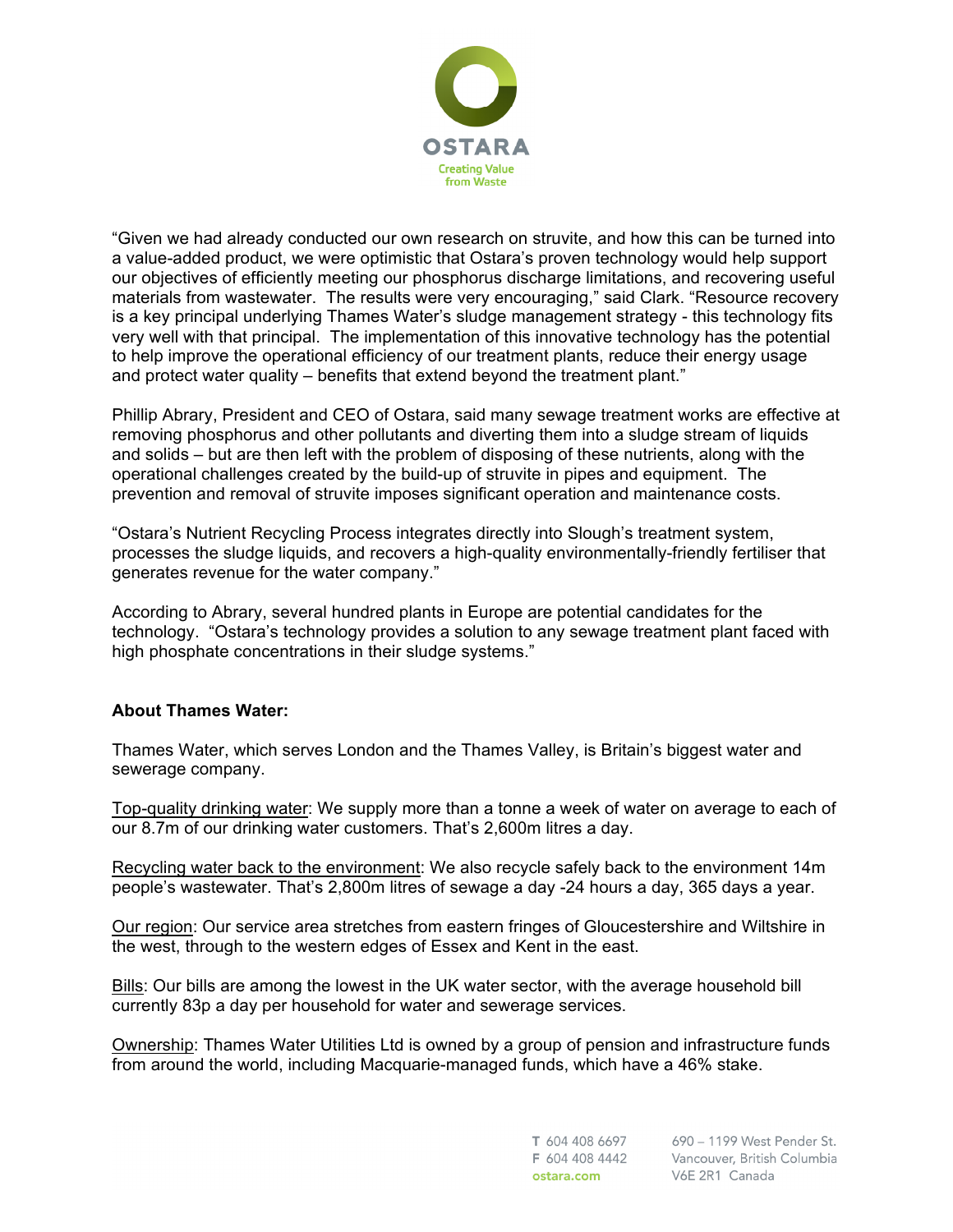

"Given we had already conducted our own research on struvite, and how this can be turned into a value-added product, we were optimistic that Ostara's proven technology would help support our objectives of efficiently meeting our phosphorus discharge limitations, and recovering useful materials from wastewater. The results were very encouraging," said Clark. "Resource recovery is a key principal underlying Thames Water's sludge management strategy - this technology fits very well with that principal. The implementation of this innovative technology has the potential to help improve the operational efficiency of our treatment plants, reduce their energy usage and protect water quality – benefits that extend beyond the treatment plant."

Phillip Abrary, President and CEO of Ostara, said many sewage treatment works are effective at removing phosphorus and other pollutants and diverting them into a sludge stream of liquids and solids – but are then left with the problem of disposing of these nutrients, along with the operational challenges created by the build-up of struvite in pipes and equipment. The prevention and removal of struvite imposes significant operation and maintenance costs.

"Ostara's Nutrient Recycling Process integrates directly into Slough's treatment system, processes the sludge liquids, and recovers a high-quality environmentally-friendly fertiliser that generates revenue for the water company."

According to Abrary, several hundred plants in Europe are potential candidates for the technology. "Ostara's technology provides a solution to any sewage treatment plant faced with high phosphate concentrations in their sludge systems."

#### **About Thames Water:**

Thames Water, which serves London and the Thames Valley, is Britain's biggest water and sewerage company.

Top-quality drinking water: We supply more than a tonne a week of water on average to each of our 8.7m of our drinking water customers. That's 2,600m litres a day.

Recycling water back to the environment: We also recycle safely back to the environment 14m people's wastewater. That's 2,800m litres of sewage a day -24 hours a day, 365 days a year.

Our region: Our service area stretches from eastern fringes of Gloucestershire and Wiltshire in the west, through to the western edges of Essex and Kent in the east.

Bills: Our bills are among the lowest in the UK water sector, with the average household bill currently 83p a day per household for water and sewerage services.

Ownership: Thames Water Utilities Ltd is owned by a group of pension and infrastructure funds from around the world, including Macquarie-managed funds, which have a 46% stake.

> T 604 408 6697 F 604 408 4442 ostara.com